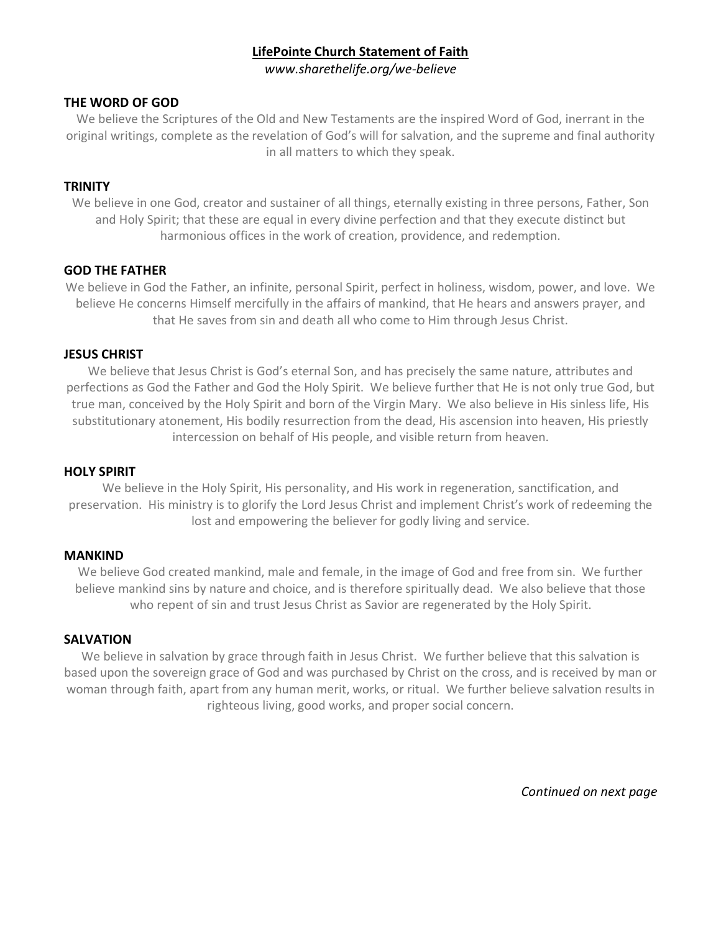# **LifePointe Church Statement of Faith**

*www.sharethelife.org/we-believe*

# **THE WORD OF GOD**

We believe the Scriptures of the Old and New Testaments are the inspired Word of God, inerrant in the original writings, complete as the revelation of God's will for salvation, and the supreme and final authority in all matters to which they speak.

# **TRINITY**

We believe in one God, creator and sustainer of all things, eternally existing in three persons, Father, Son and Holy Spirit; that these are equal in every divine perfection and that they execute distinct but harmonious offices in the work of creation, providence, and redemption.

# **GOD THE FATHER**

We believe in God the Father, an infinite, personal Spirit, perfect in holiness, wisdom, power, and love. We believe He concerns Himself mercifully in the affairs of mankind, that He hears and answers prayer, and that He saves from sin and death all who come to Him through Jesus Christ.

# **JESUS CHRIST**

We believe that Jesus Christ is God's eternal Son, and has precisely the same nature, attributes and perfections as God the Father and God the Holy Spirit. We believe further that He is not only true God, but true man, conceived by the Holy Spirit and born of the Virgin Mary. We also believe in His sinless life, His substitutionary atonement, His bodily resurrection from the dead, His ascension into heaven, His priestly intercession on behalf of His people, and visible return from heaven.

# **HOLY SPIRIT**

We believe in the Holy Spirit, His personality, and His work in regeneration, sanctification, and preservation. His ministry is to glorify the Lord Jesus Christ and implement Christ's work of redeeming the lost and empowering the believer for godly living and service.

#### **MANKIND**

We believe God created mankind, male and female, in the image of God and free from sin. We further believe mankind sins by nature and choice, and is therefore spiritually dead. We also believe that those who repent of sin and trust Jesus Christ as Savior are regenerated by the Holy Spirit.

#### **SALVATION**

We believe in salvation by grace through faith in Jesus Christ. We further believe that this salvation is based upon the sovereign grace of God and was purchased by Christ on the cross, and is received by man or woman through faith, apart from any human merit, works, or ritual. We further believe salvation results in righteous living, good works, and proper social concern.

*Continued on next page*